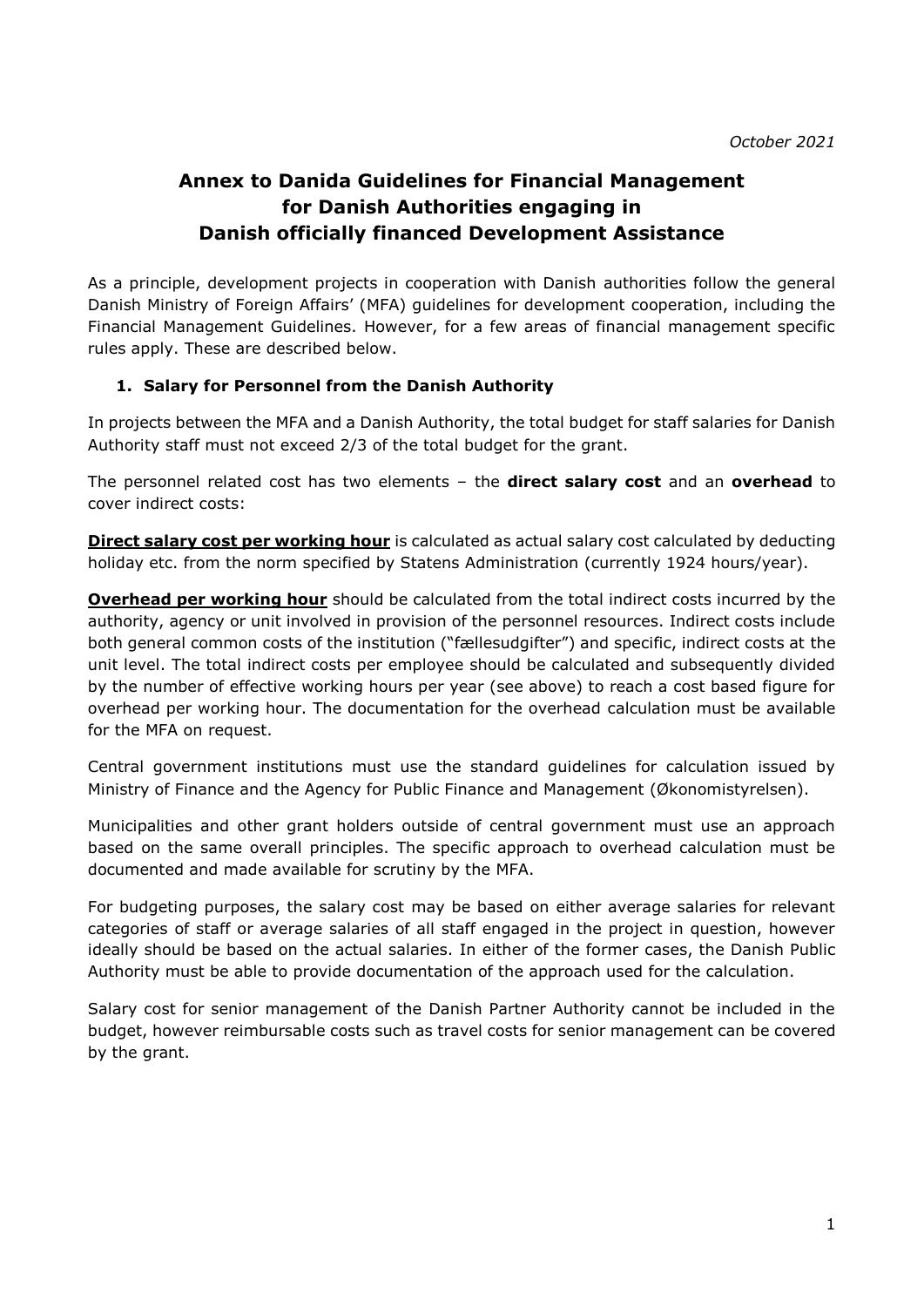# **Annex to Danida Guidelines for Financial Management for Danish Authorities engaging in Danish officially financed Development Assistance**

As a principle, development projects in cooperation with Danish authorities follow the general Danish Ministry of Foreign Affairs' (MFA) guidelines for development cooperation, including the Financial Management Guidelines. However, for a few areas of financial management specific rules apply. These are described below.

# **1. Salary for Personnel from the Danish Authority**

In projects between the MFA and a Danish Authority, the total budget for staff salaries for Danish Authority staff must not exceed 2/3 of the total budget for the grant.

The personnel related cost has two elements – the **direct salary cost** and an **overhead** to cover indirect costs:

**Direct salary cost per working hour** is calculated as actual salary cost calculated by deducting holiday etc. from the norm specified by Statens Administration (currently 1924 hours/year).

**Overhead per working hour** should be calculated from the total indirect costs incurred by the authority, agency or unit involved in provision of the personnel resources. Indirect costs include both general common costs of the institution ("fællesudgifter") and specific, indirect costs at the unit level. The total indirect costs per employee should be calculated and subsequently divided by the number of effective working hours per year (see above) to reach a cost based figure for overhead per working hour. The documentation for the overhead calculation must be available for the MFA on request.

Central government institutions must use the standard guidelines for calculation issued by Ministry of Finance and the Agency for Public Finance and Management (Økonomistyrelsen).

Municipalities and other grant holders outside of central government must use an approach based on the same overall principles. The specific approach to overhead calculation must be documented and made available for scrutiny by the MFA.

For budgeting purposes, the salary cost may be based on either average salaries for relevant categories of staff or average salaries of all staff engaged in the project in question, however ideally should be based on the actual salaries. In either of the former cases, the Danish Public Authority must be able to provide documentation of the approach used for the calculation.

Salary cost for senior management of the Danish Partner Authority cannot be included in the budget, however reimbursable costs such as travel costs for senior management can be covered by the grant.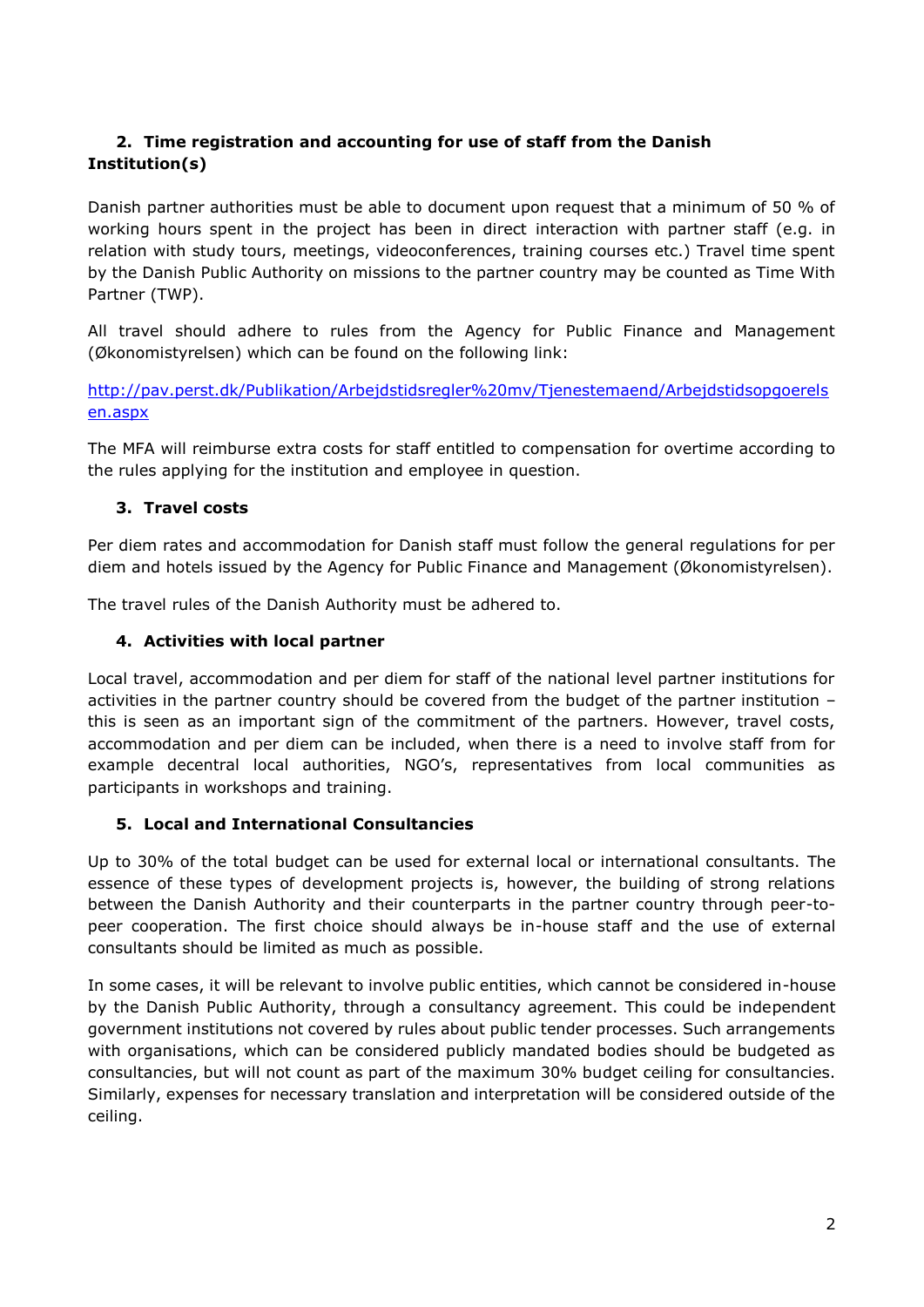# **2. Time registration and accounting for use of staff from the Danish Institution(s)**

Danish partner authorities must be able to document upon request that a minimum of 50 % of working hours spent in the project has been in direct interaction with partner staff (e.g. in relation with study tours, meetings, videoconferences, training courses etc.) Travel time spent by the Danish Public Authority on missions to the partner country may be counted as Time With Partner (TWP).

All travel should adhere to rules from the Agency for Public Finance and Management (Økonomistyrelsen) which can be found on the following link:

[http://pav.perst.dk/Publikation/Arbejdstidsregler%20mv/Tjenestemaend/Arbejdstidsopgoerels](https://urldefense.proofpoint.com/v2/url?u=http-3A__pav.perst.dk_Publikation_Arbejdstidsregler-2520mv_Tjenestemaend_Arbejdstidsopgoerelsen.aspx&d=DQMFAw&c=TetzAZAhVSko12xaT-KIa3n01u3Wp4WIyD-BXEVx9_hZ47o99lwGOl4RKAkT0Qeu&r=xuDgu2_YTdEXv4hVKxmEvA&m=ItVkZNsWOmR6HRIgG6-M8HXFQOnUCRsEQF5x6ZbcBXA&s=xXxMulHbipF2w9caAnUlBhS6uBGXm6SSO5xPT4ues9o&e=) [en.aspx](https://urldefense.proofpoint.com/v2/url?u=http-3A__pav.perst.dk_Publikation_Arbejdstidsregler-2520mv_Tjenestemaend_Arbejdstidsopgoerelsen.aspx&d=DQMFAw&c=TetzAZAhVSko12xaT-KIa3n01u3Wp4WIyD-BXEVx9_hZ47o99lwGOl4RKAkT0Qeu&r=xuDgu2_YTdEXv4hVKxmEvA&m=ItVkZNsWOmR6HRIgG6-M8HXFQOnUCRsEQF5x6ZbcBXA&s=xXxMulHbipF2w9caAnUlBhS6uBGXm6SSO5xPT4ues9o&e=)

The MFA will reimburse extra costs for staff entitled to compensation for overtime according to the rules applying for the institution and employee in question.

# **3. Travel costs**

Per diem rates and accommodation for Danish staff must follow the general regulations for per diem and hotels issued by the Agency for Public Finance and Management (Økonomistyrelsen).

The travel rules of the Danish Authority must be adhered to.

# **4. Activities with local partner**

Local travel, accommodation and per diem for staff of the national level partner institutions for activities in the partner country should be covered from the budget of the partner institution – this is seen as an important sign of the commitment of the partners. However, travel costs, accommodation and per diem can be included, when there is a need to involve staff from for example decentral local authorities, NGO's, representatives from local communities as participants in workshops and training.

## **5. Local and International Consultancies**

Up to 30% of the total budget can be used for external local or international consultants. The essence of these types of development projects is, however, the building of strong relations between the Danish Authority and their counterparts in the partner country through peer-topeer cooperation. The first choice should always be in-house staff and the use of external consultants should be limited as much as possible.

In some cases, it will be relevant to involve public entities, which cannot be considered in-house by the Danish Public Authority, through a consultancy agreement. This could be independent government institutions not covered by rules about public tender processes. Such arrangements with organisations, which can be considered publicly mandated bodies should be budgeted as consultancies, but will not count as part of the maximum 30% budget ceiling for consultancies. Similarly, expenses for necessary translation and interpretation will be considered outside of the ceiling.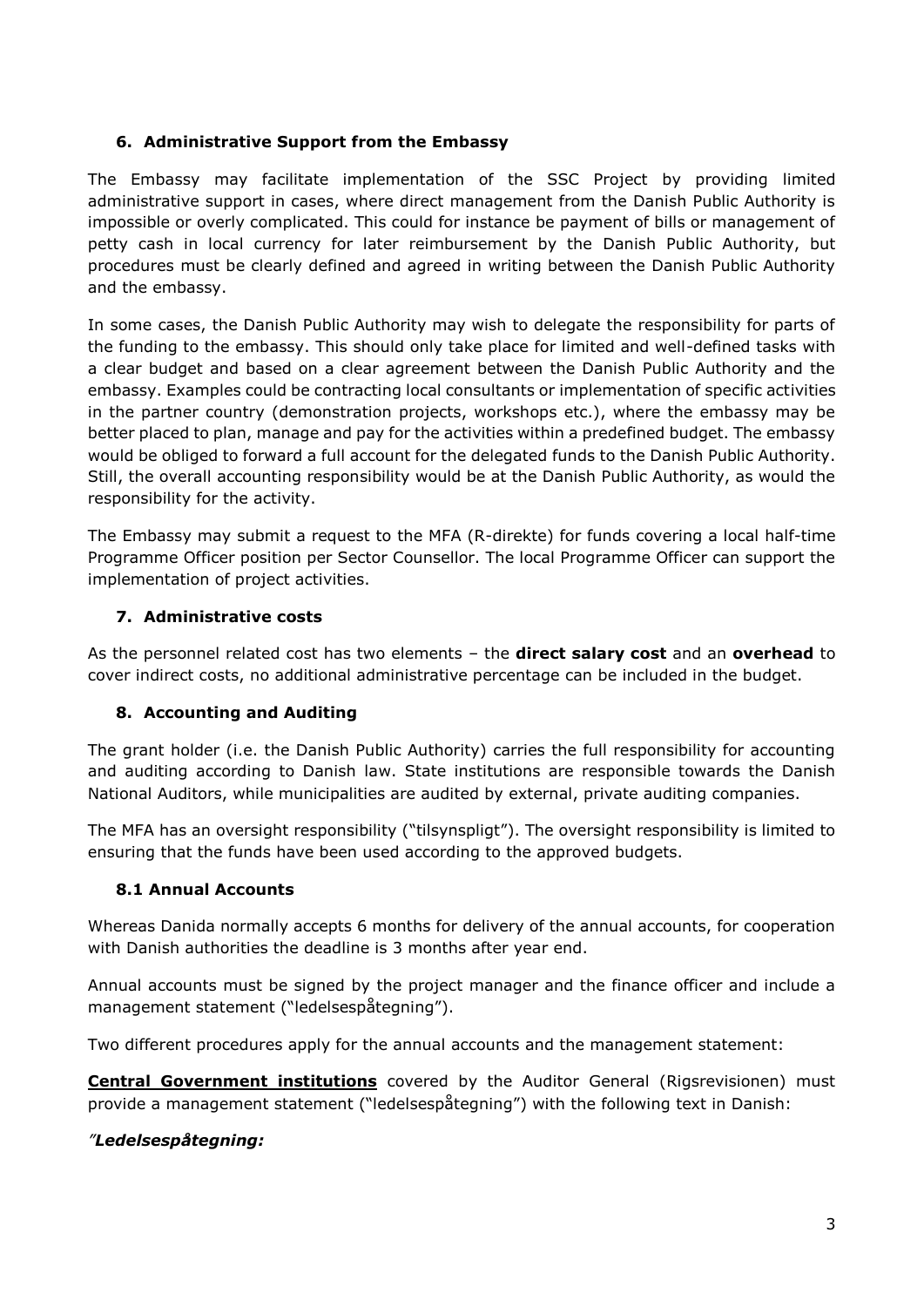## **6. Administrative Support from the Embassy**

The Embassy may facilitate implementation of the SSC Project by providing limited administrative support in cases, where direct management from the Danish Public Authority is impossible or overly complicated. This could for instance be payment of bills or management of petty cash in local currency for later reimbursement by the Danish Public Authority, but procedures must be clearly defined and agreed in writing between the Danish Public Authority and the embassy.

In some cases, the Danish Public Authority may wish to delegate the responsibility for parts of the funding to the embassy. This should only take place for limited and well-defined tasks with a clear budget and based on a clear agreement between the Danish Public Authority and the embassy. Examples could be contracting local consultants or implementation of specific activities in the partner country (demonstration projects, workshops etc.), where the embassy may be better placed to plan, manage and pay for the activities within a predefined budget. The embassy would be obliged to forward a full account for the delegated funds to the Danish Public Authority. Still, the overall accounting responsibility would be at the Danish Public Authority, as would the responsibility for the activity.

The Embassy may submit a request to the MFA (R-direkte) for funds covering a local half-time Programme Officer position per Sector Counsellor. The local Programme Officer can support the implementation of project activities.

## **7. Administrative costs**

As the personnel related cost has two elements – the **direct salary cost** and an **overhead** to cover indirect costs, no additional administrative percentage can be included in the budget.

## **8. Accounting and Auditing**

The grant holder (i.e. the Danish Public Authority) carries the full responsibility for accounting and auditing according to Danish law. State institutions are responsible towards the Danish National Auditors, while municipalities are audited by external, private auditing companies.

The MFA has an oversight responsibility ("tilsynspligt"). The oversight responsibility is limited to ensuring that the funds have been used according to the approved budgets.

## **8.1 Annual Accounts**

Whereas Danida normally accepts 6 months for delivery of the annual accounts, for cooperation with Danish authorities the deadline is 3 months after year end.

Annual accounts must be signed by the project manager and the finance officer and include a management statement ("ledelsespåtegning").

Two different procedures apply for the annual accounts and the management statement:

**Central Government institutions** covered by the Auditor General (Rigsrevisionen) must provide a management statement ("ledelsespåtegning") with the following text in Danish:

## *"Ledelsespåtegning:*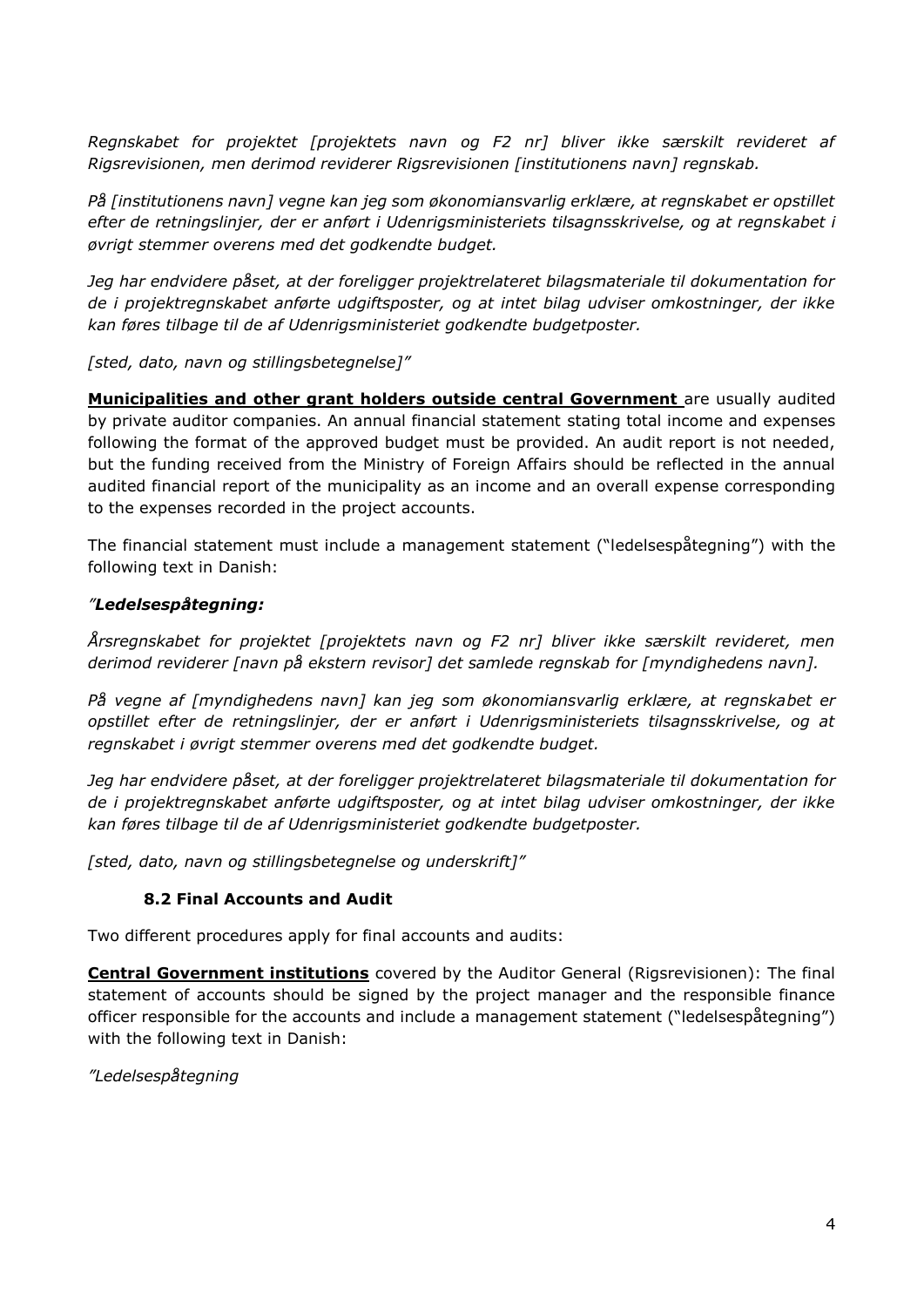*Regnskabet for projektet [projektets navn og F2 nr] bliver ikke særskilt revideret af Rigsrevisionen, men derimod reviderer Rigsrevisionen [institutionens navn] regnskab.*

*På [institutionens navn] vegne kan jeg som økonomiansvarlig erklære, at regnskabet er opstillet efter de retningslinjer, der er anført i Udenrigsministeriets tilsagnsskrivelse, og at regnskabet i øvrigt stemmer overens med det godkendte budget.*

*Jeg har endvidere påset, at der foreligger projektrelateret bilagsmateriale til dokumentation for de i projektregnskabet anførte udgiftsposter, og at intet bilag udviser omkostninger, der ikke kan føres tilbage til de af Udenrigsministeriet godkendte budgetposter.*

*[sted, dato, navn og stillingsbetegnelse]"*

**Municipalities and other grant holders outside central Government** are usually audited by private auditor companies. An annual financial statement stating total income and expenses following the format of the approved budget must be provided. An audit report is not needed, but the funding received from the Ministry of Foreign Affairs should be reflected in the annual audited financial report of the municipality as an income and an overall expense corresponding to the expenses recorded in the project accounts.

The financial statement must include a management statement ("ledelsespåtegning") with the following text in Danish:

# *"Ledelsespåtegning:*

*Årsregnskabet for projektet [projektets navn og F2 nr] bliver ikke særskilt revideret, men derimod reviderer [navn på ekstern revisor] det samlede regnskab for [myndighedens navn].*

*På vegne af [myndighedens navn] kan jeg som økonomiansvarlig erklære, at regnskabet er opstillet efter de retningslinjer, der er anført i Udenrigsministeriets tilsagnsskrivelse, og at regnskabet i øvrigt stemmer overens med det godkendte budget.*

*Jeg har endvidere påset, at der foreligger projektrelateret bilagsmateriale til dokumentation for de i projektregnskabet anførte udgiftsposter, og at intet bilag udviser omkostninger, der ikke kan føres tilbage til de af Udenrigsministeriet godkendte budgetposter.*

*[sted, dato, navn og stillingsbetegnelse og underskrift]"*

# **8.2 Final Accounts and Audit**

Two different procedures apply for final accounts and audits:

**Central Government institutions** covered by the Auditor General (Rigsrevisionen): The final statement of accounts should be signed by the project manager and the responsible finance officer responsible for the accounts and include a management statement ("ledelsespåtegning") with the following text in Danish:

*"Ledelsespåtegning*